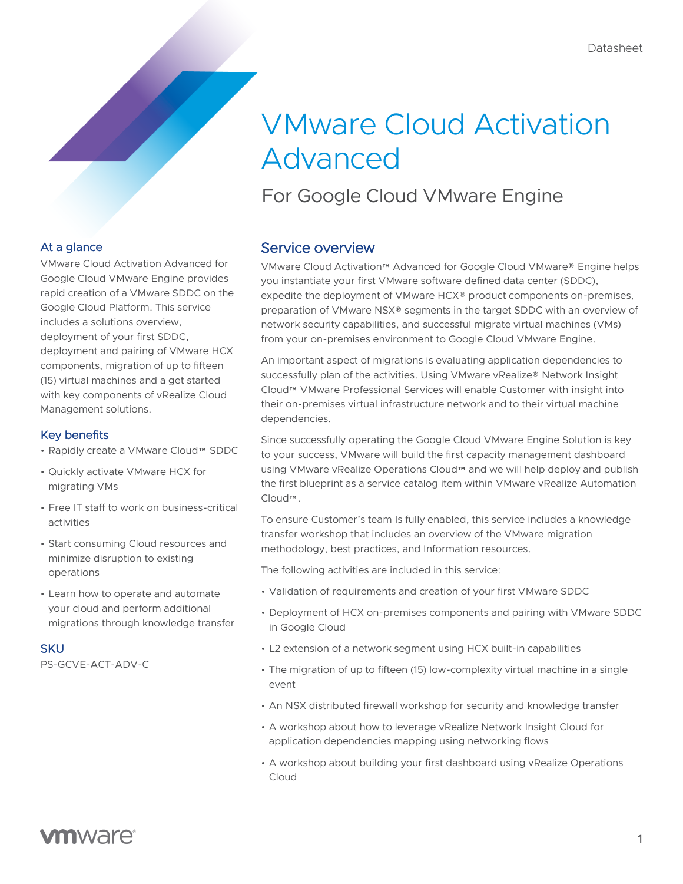# VMware Cloud Activation Advanced

For Google Cloud VMware Engine

### At a glance

VMware Cloud Activation Advanced for Google Cloud VMware Engine provides rapid creation of a VMware SDDC on the Google Cloud Platform. This service includes a solutions overview, deployment of your first SDDC, deployment and pairing of VMware HCX components, migration of up to fifteen (15) virtual machines and a get started with key components of vRealize Cloud Management solutions.

#### Key benefits

- Rapidly create a VMware Cloud™ SDDC
- Quickly activate VMware HCX for migrating VMs
- Free IT staff to work on business-critical activities
- Start consuming Cloud resources and minimize disruption to existing operations
- Learn how to operate and automate your cloud and perform additional migrations through knowledge transfer

#### **SKU**

PS-GCVE-ACT-ADV-C

### Service overview

VMware Cloud Activation™ Advanced for Google Cloud VMware® Engine helps you instantiate your first VMware software defined data center (SDDC), expedite the deployment of VMware HCX® product components on-premises, preparation of VMware NSX® segments in the target SDDC with an overview of network security capabilities, and successful migrate virtual machines (VMs) from your on-premises environment to Google Cloud VMware Engine.

An important aspect of migrations is evaluating application dependencies to successfully plan of the activities. Using VMware vRealize® Network Insight Cloud™ VMware Professional Services will enable Customer with insight into their on-premises virtual infrastructure network and to their virtual machine dependencies.

Since successfully operating the Google Cloud VMware Engine Solution is key to your success, VMware will build the first capacity management dashboard using VMware vRealize Operations Cloud™ and we will help deploy and publish the first blueprint as a service catalog item within VMware vRealize Automation Cloud™.

To ensure Customer's team Is fully enabled, this service includes a knowledge transfer workshop that includes an overview of the VMware migration methodology, best practices, and Information resources.

The following activities are included in this service:

- Validation of requirements and creation of your first VMware SDDC
- Deployment of HCX on-premises components and pairing with VMware SDDC in Google Cloud
- L2 extension of a network segment using HCX built-in capabilities
- The migration of up to fifteen (15) low-complexity virtual machine in a single event
- An NSX distributed firewall workshop for security and knowledge transfer
- A workshop about how to leverage vRealize Network Insight Cloud for application dependencies mapping using networking flows
- A workshop about building your first dashboard using vRealize Operations Cloud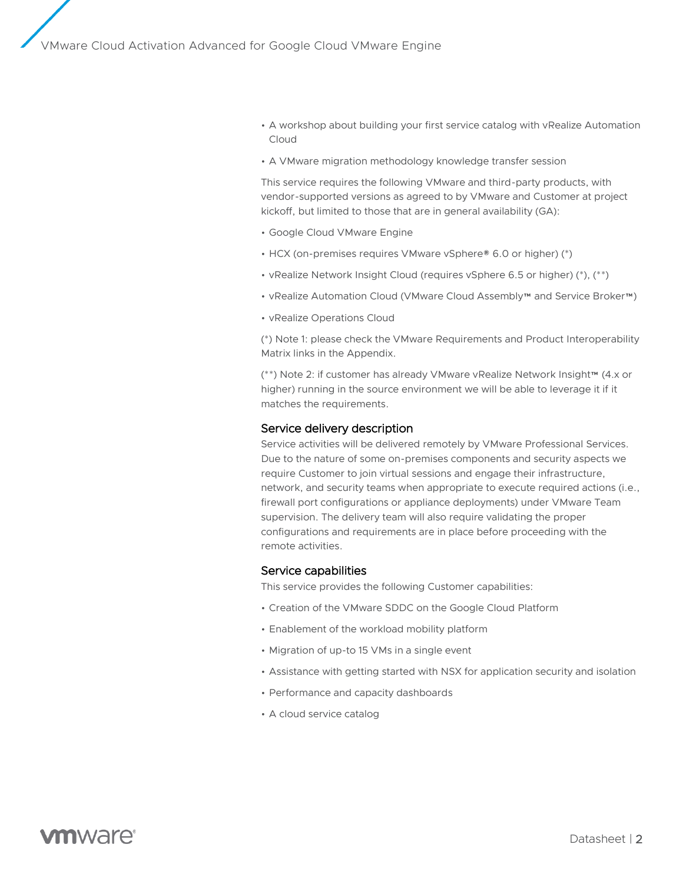- A workshop about building your first service catalog with vRealize Automation Cloud
- A VMware migration methodology knowledge transfer session

This service requires the following VMware and third-party products, with vendor-supported versions as agreed to by VMware and Customer at project kickoff, but limited to those that are in general availability (GA):

- Google Cloud VMware Engine
- HCX (on-premises requires VMware vSphere® 6.0 or higher) (\*)
- vRealize Network Insight Cloud (requires vSphere 6.5 or higher) (\*), (\*\*)
- vRealize Automation Cloud (VMware Cloud Assembly™ and Service Broker™)
- vRealize Operations Cloud

(\*) Note 1: please check the VMware Requirements and Product Interoperability Matrix links in the Appendix.

(\*\*) Note 2: if customer has already VMware vRealize Network Insight™ (4.x or higher) running in the source environment we will be able to leverage it if it matches the requirements.

#### Service delivery description

Service activities will be delivered remotely by VMware Professional Services. Due to the nature of some on-premises components and security aspects we require Customer to join virtual sessions and engage their infrastructure, network, and security teams when appropriate to execute required actions (i.e., firewall port configurations or appliance deployments) under VMware Team supervision. The delivery team will also require validating the proper configurations and requirements are in place before proceeding with the remote activities.

#### Service capabilities

This service provides the following Customer capabilities:

- Creation of the VMware SDDC on the Google Cloud Platform
- Enablement of the workload mobility platform
- Migration of up-to 15 VMs in a single event
- Assistance with getting started with NSX for application security and isolation
- Performance and capacity dashboards
- A cloud service catalog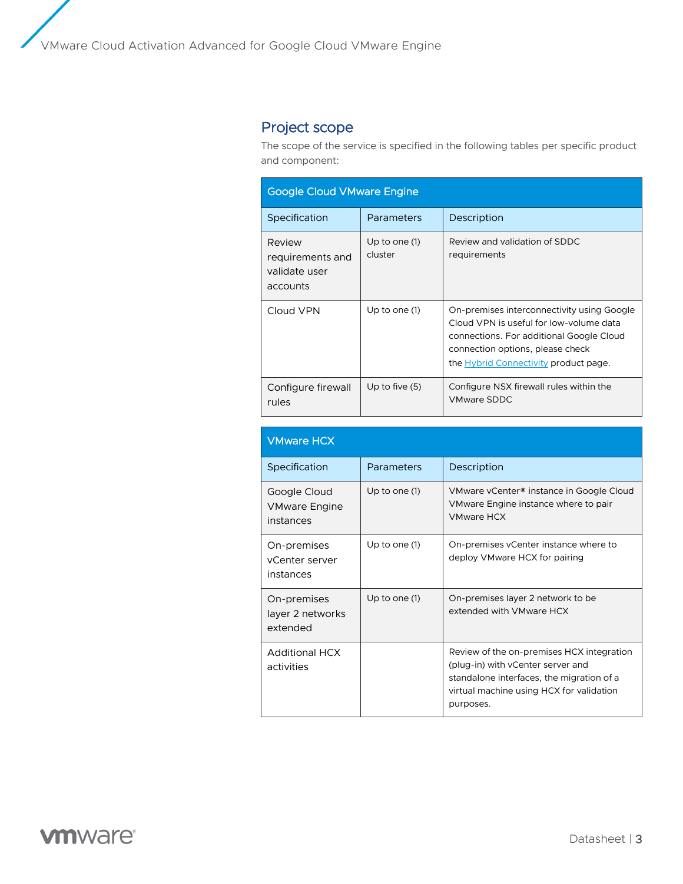## Project scope

The scope of the service is specified in the following tables per specific product and component:

| <b>Google Cloud VMware Engine</b>                       |                          |                                                                                                                                                                                                                |
|---------------------------------------------------------|--------------------------|----------------------------------------------------------------------------------------------------------------------------------------------------------------------------------------------------------------|
| Specification                                           | Parameters               | Description                                                                                                                                                                                                    |
| Review<br>requirements and<br>validate user<br>accounts | Up to one (1)<br>cluster | Review and validation of SDDC<br>requirements                                                                                                                                                                  |
| Cloud VPN                                               | Up to one (1)            | On-premises interconnectivity using Google<br>Cloud VPN is useful for low-volume data<br>connections. For additional Google Cloud<br>connection options, please check<br>the Hybrid Connectivity product page. |
| Configure firewall<br>rules                             | Up to five $(5)$         | Configure NSX firewall rules within the<br><b>VMware SDDC</b>                                                                                                                                                  |

| <b>VMware HCX</b>                                 |                 |                                                                                                                                                                                      |
|---------------------------------------------------|-----------------|--------------------------------------------------------------------------------------------------------------------------------------------------------------------------------------|
| Specification                                     | Parameters      | Description                                                                                                                                                                          |
| Google Cloud<br><b>VMware Engine</b><br>instances | Up to one $(1)$ | VMware vCenter <sup>®</sup> instance in Google Cloud<br>VMware Engine instance where to pair<br><b>VMware HCX</b>                                                                    |
| On-premises<br>vCenter server<br>instances        | Up to one (1)   | On-premises vCenter instance where to<br>deploy VMware HCX for pairing                                                                                                               |
| On-premises<br>layer 2 networks<br>extended       | Up to one $(1)$ | On-premises layer 2 network to be<br>extended with VMware HCX                                                                                                                        |
| <b>Additional HCX</b><br>activities               |                 | Review of the on-premises HCX integration<br>(plug-in) with vCenter server and<br>standalone interfaces, the migration of a<br>virtual machine using HCX for validation<br>purposes. |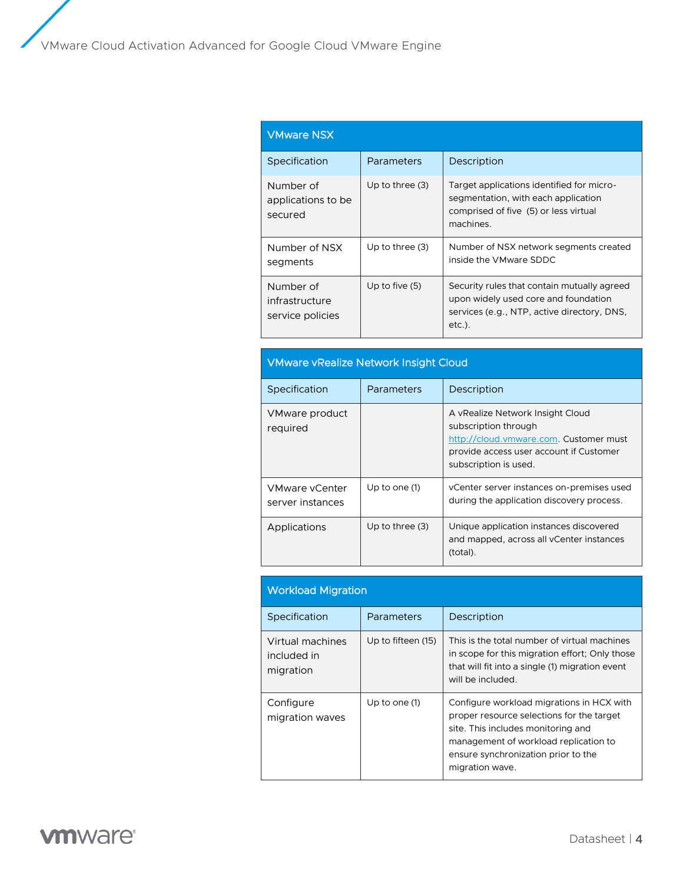| <b>VMware NSX</b>                               |                   |                                                                                                                                                 |
|-------------------------------------------------|-------------------|-------------------------------------------------------------------------------------------------------------------------------------------------|
| Specification                                   | Parameters        | Description                                                                                                                                     |
| Number of<br>applications to be.<br>secured     | Up to three $(3)$ | Target applications identified for micro-<br>segmentation, with each application<br>comprised of five (5) or less virtual<br>machines.          |
| Number of NSX<br>segments                       | Up to three $(3)$ | Number of NSX network segments created<br>inside the VMware SDDC                                                                                |
| Number of<br>infrastructure<br>service policies | Up to five $(5)$  | Security rules that contain mutually agreed<br>upon widely used core and foundation<br>services (e.g., NTP, active directory, DNS,<br>$etc.$ ). |

| <b>VMware vRealize Network Insight Cloud</b> |                   |                                                                                                                                                                        |
|----------------------------------------------|-------------------|------------------------------------------------------------------------------------------------------------------------------------------------------------------------|
| Specification                                | Parameters        | Description                                                                                                                                                            |
| VMware product<br>required                   |                   | A vRealize Network Insight Cloud<br>subscription through<br>http://cloud.vmware.com. Customer must<br>provide access user account if Customer<br>subscription is used. |
| VMware vCenter<br>server instances           | Up to one (1)     | vCenter server instances on-premises used<br>during the application discovery process.                                                                                 |
| Applications                                 | Up to three $(3)$ | Unique application instances discovered<br>and mapped, across all vCenter instances<br>(total).                                                                        |

| <b>Workload Migration</b>                    |                    |                                                                                                                                                                                                                                 |
|----------------------------------------------|--------------------|---------------------------------------------------------------------------------------------------------------------------------------------------------------------------------------------------------------------------------|
| Specification                                | Parameters         | Description                                                                                                                                                                                                                     |
| Virtual machines<br>included in<br>migration | Up to fifteen (15) | This is the total number of virtual machines<br>in scope for this migration effort; Only those<br>that will fit into a single (1) migration event<br>will be included.                                                          |
| Configure<br>migration waves                 | Up to one (1)      | Configure workload migrations in HCX with<br>proper resource selections for the target<br>site. This includes monitoring and<br>management of workload replication to<br>ensure synchronization prior to the<br>migration wave. |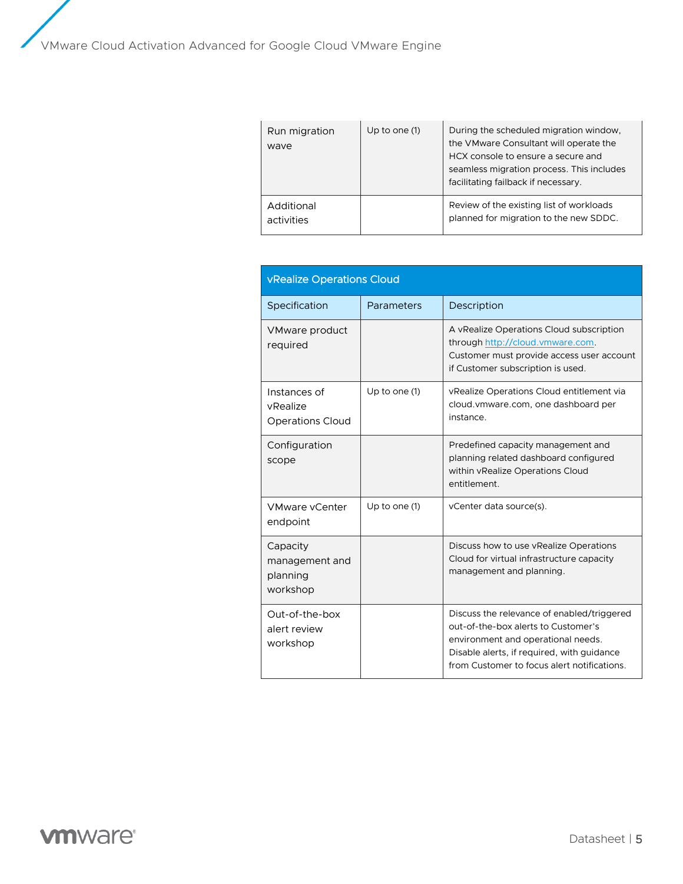| Run migration<br>wave    | Up to one $(1)$ | During the scheduled migration window,<br>the VMware Consultant will operate the<br>HCX console to ensure a secure and<br>seamless migration process. This includes<br>facilitating failback if necessary. |
|--------------------------|-----------------|------------------------------------------------------------------------------------------------------------------------------------------------------------------------------------------------------------|
| Additional<br>activities |                 | Review of the existing list of workloads<br>planned for migration to the new SDDC.                                                                                                                         |

| <b>vRealize Operations Cloud</b>                    |               |                                                                                                                                                                                                                      |
|-----------------------------------------------------|---------------|----------------------------------------------------------------------------------------------------------------------------------------------------------------------------------------------------------------------|
| Specification                                       | Parameters    | Description                                                                                                                                                                                                          |
| VMware product<br>required                          |               | A vRealize Operations Cloud subscription<br>through http://cloud.vmware.com.<br>Customer must provide access user account<br>if Customer subscription is used.                                                       |
| Instances of<br>vRealize<br><b>Operations Cloud</b> | Up to one (1) | vRealize Operations Cloud entitlement via<br>cloud. vmware.com, one dashboard per<br>instance.                                                                                                                       |
| Configuration<br>scope                              |               | Predefined capacity management and<br>planning related dashboard configured<br>within vRealize Operations Cloud<br>entitlement.                                                                                      |
| <b>VMware vCenter</b><br>endpoint                   | Up to one (1) | vCenter data source(s).                                                                                                                                                                                              |
| Capacity<br>management and<br>planning<br>workshop  |               | Discuss how to use vRealize Operations<br>Cloud for virtual infrastructure capacity<br>management and planning.                                                                                                      |
| Out-of-the-box<br>alert review<br>workshop          |               | Discuss the relevance of enabled/triggered<br>out-of-the-box alerts to Customer's<br>environment and operational needs.<br>Disable alerts, if required, with guidance<br>from Customer to focus alert notifications. |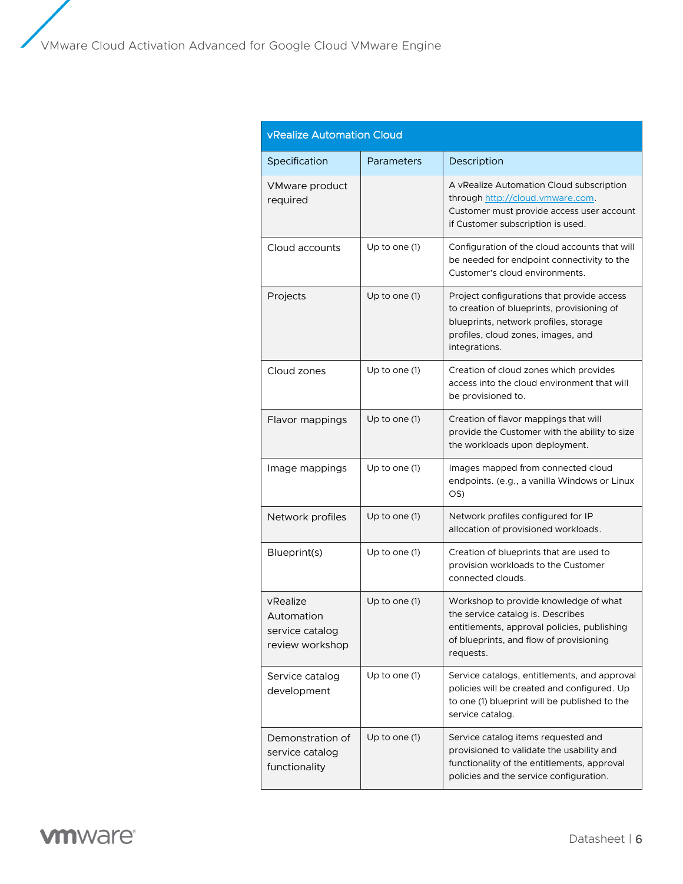| <b>vRealize Automation Cloud</b>                             |               |                                                                                                                                                                                          |
|--------------------------------------------------------------|---------------|------------------------------------------------------------------------------------------------------------------------------------------------------------------------------------------|
| Specification                                                | Parameters    | Description                                                                                                                                                                              |
| VMware product<br>required                                   |               | A vRealize Automation Cloud subscription<br>through http://cloud.vmware.com.<br>Customer must provide access user account<br>if Customer subscription is used.                           |
| Cloud accounts                                               | Up to one (1) | Configuration of the cloud accounts that will<br>be needed for endpoint connectivity to the<br>Customer's cloud environments.                                                            |
| Projects                                                     | Up to one (1) | Project configurations that provide access<br>to creation of blueprints, provisioning of<br>blueprints, network profiles, storage<br>profiles, cloud zones, images, and<br>integrations. |
| Cloud zones                                                  | Up to one (1) | Creation of cloud zones which provides<br>access into the cloud environment that will<br>be provisioned to.                                                                              |
| Flavor mappings                                              | Up to one (1) | Creation of flavor mappings that will<br>provide the Customer with the ability to size<br>the workloads upon deployment.                                                                 |
| Image mappings                                               | Up to one (1) | Images mapped from connected cloud<br>endpoints. (e.g., a vanilla Windows or Linux<br>OS)                                                                                                |
| Network profiles                                             | Up to one (1) | Network profiles configured for IP<br>allocation of provisioned workloads.                                                                                                               |
| Blueprint(s)                                                 | Up to one (1) | Creation of blueprints that are used to<br>provision workloads to the Customer<br>connected clouds.                                                                                      |
| vRealize<br>Automation<br>service catalog<br>review workshop | Up to one (1) | Workshop to provide knowledge of what<br>the service catalog is. Describes<br>entitlements, approval policies, publishing<br>of blueprints, and flow of provisioning<br>requests.        |
| Service catalog<br>development                               | Up to one (1) | Service catalogs, entitlements, and approval<br>policies will be created and configured. Up<br>to one (1) blueprint will be published to the<br>service catalog.                         |
| Demonstration of<br>service catalog<br>functionality         | Up to one (1) | Service catalog items requested and<br>provisioned to validate the usability and<br>functionality of the entitlements, approval<br>policies and the service configuration.               |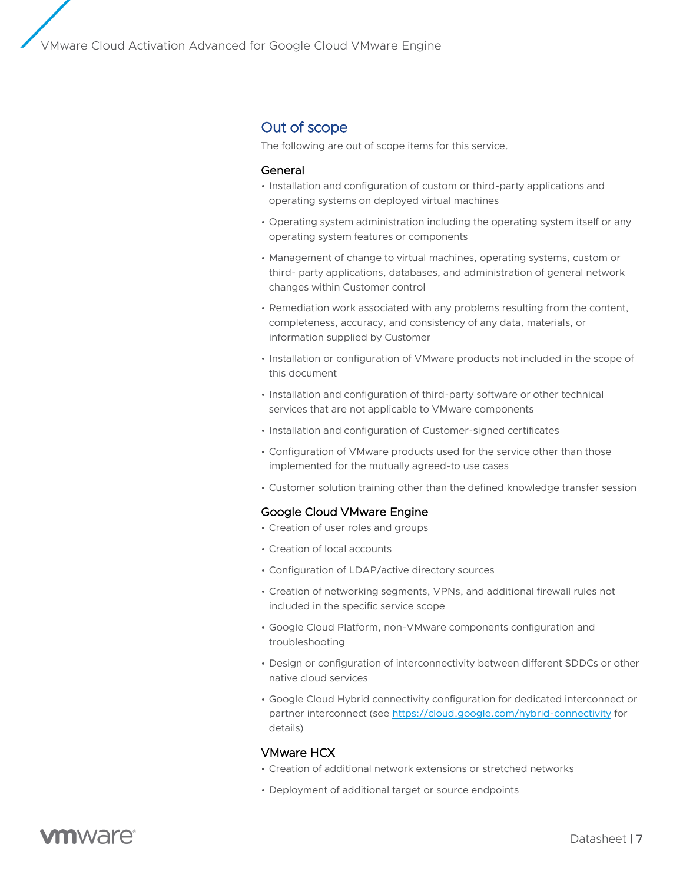### Out of scope

The following are out of scope items for this service.

#### General

- Installation and configuration of custom or third-party applications and operating systems on deployed virtual machines
- Operating system administration including the operating system itself or any operating system features or components
- Management of change to virtual machines, operating systems, custom or third- party applications, databases, and administration of general network changes within Customer control
- Remediation work associated with any problems resulting from the content, completeness, accuracy, and consistency of any data, materials, or information supplied by Customer
- Installation or configuration of VMware products not included in the scope of this document
- Installation and configuration of third-party software or other technical services that are not applicable to VMware components
- Installation and configuration of Customer-signed certificates
- Configuration of VMware products used for the service other than those implemented for the mutually agreed-to use cases
- Customer solution training other than the defined knowledge transfer session

#### Google Cloud VMware Engine

- Creation of user roles and groups
- Creation of local accounts
- Configuration of LDAP/active directory sources
- Creation of networking segments, VPNs, and additional firewall rules not included in the specific service scope
- Google Cloud Platform, non-VMware components configuration and troubleshooting
- Design or configuration of interconnectivity between different SDDCs or other native cloud services
- Google Cloud Hybrid connectivity configuration for dedicated interconnect or partner interconnect (se[e https://cloud.google.com/hybrid-connectivity](https://cloud.google.com/hybrid-connectivity) for details)

#### VMware HCX

- Creation of additional network extensions or stretched networks
- Deployment of additional target or source endpoints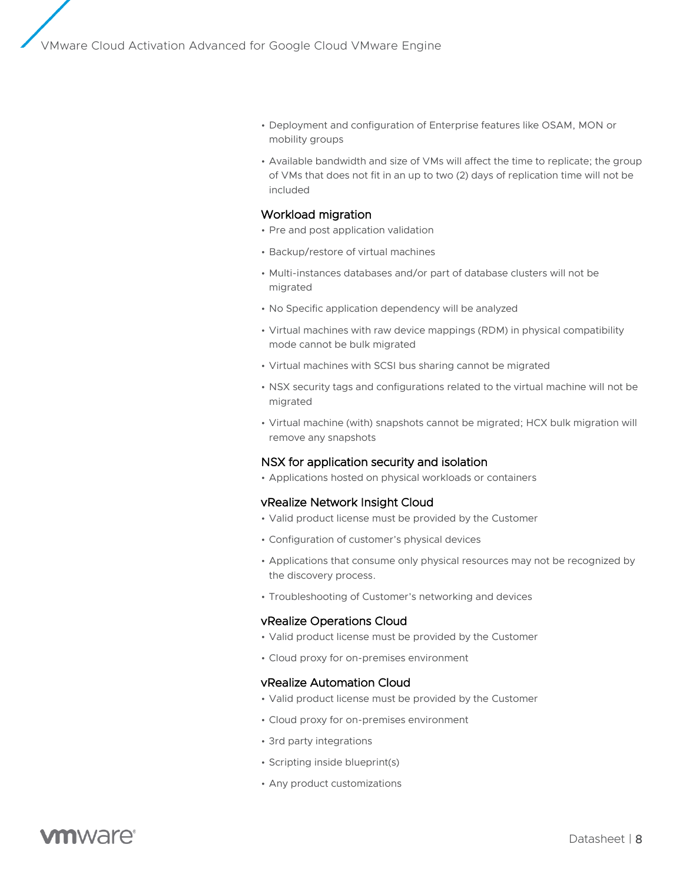- Deployment and configuration of Enterprise features like OSAM, MON or mobility groups
- Available bandwidth and size of VMs will affect the time to replicate; the group of VMs that does not fit in an up to two (2) days of replication time will not be included

#### Workload migration

- Pre and post application validation
- Backup/restore of virtual machines
- Multi-instances databases and/or part of database clusters will not be migrated
- No Specific application dependency will be analyzed
- Virtual machines with raw device mappings (RDM) in physical compatibility mode cannot be bulk migrated
- Virtual machines with SCSI bus sharing cannot be migrated
- NSX security tags and configurations related to the virtual machine will not be migrated
- Virtual machine (with) snapshots cannot be migrated; HCX bulk migration will remove any snapshots

#### NSX for application security and isolation

• Applications hosted on physical workloads or containers

#### vRealize Network Insight Cloud

- Valid product license must be provided by the Customer
- Configuration of customer's physical devices
- Applications that consume only physical resources may not be recognized by the discovery process.
- Troubleshooting of Customer's networking and devices

#### vRealize Operations Cloud

- Valid product license must be provided by the Customer
- Cloud proxy for on-premises environment

#### vRealize Automation Cloud

- Valid product license must be provided by the Customer
- Cloud proxy for on-premises environment
- 3rd party integrations
- Scripting inside blueprint(s)
- Any product customizations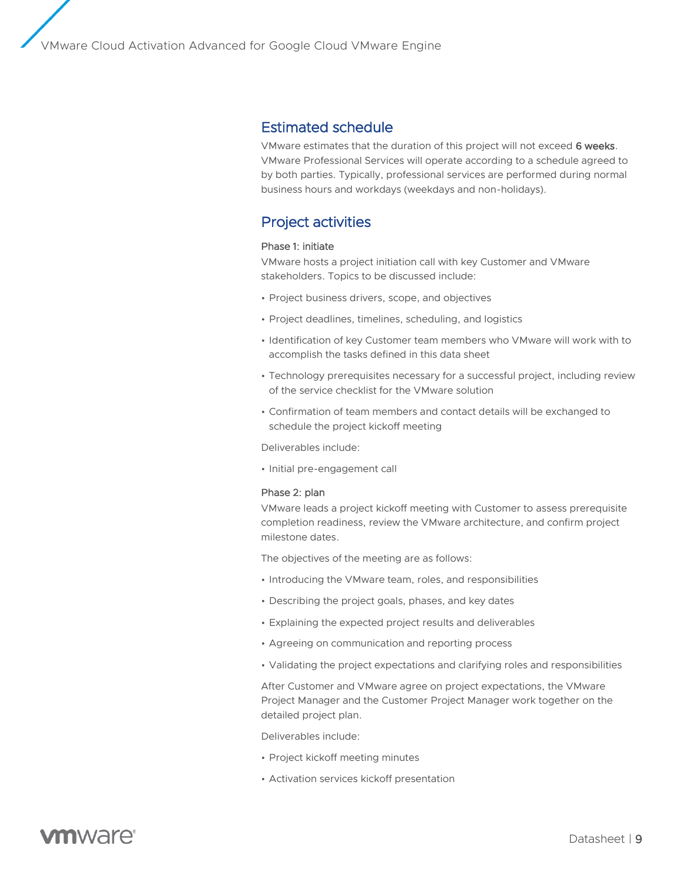### Estimated schedule

VMware estimates that the duration of this project will not exceed 6 weeks. VMware Professional Services will operate according to a schedule agreed to by both parties. Typically, professional services are performed during normal business hours and workdays (weekdays and non-holidays).

### Project activities

#### Phase 1: initiate

VMware hosts a project initiation call with key Customer and VMware stakeholders. Topics to be discussed include:

- Project business drivers, scope, and objectives
- Project deadlines, timelines, scheduling, and logistics
- Identification of key Customer team members who VMware will work with to accomplish the tasks defined in this data sheet
- Technology prerequisites necessary for a successful project, including review of the service checklist for the VMware solution
- Confirmation of team members and contact details will be exchanged to schedule the project kickoff meeting

Deliverables include:

• Initial pre-engagement call

#### Phase 2: plan

VMware leads a project kickoff meeting with Customer to assess prerequisite completion readiness, review the VMware architecture, and confirm project milestone dates.

The objectives of the meeting are as follows:

- Introducing the VMware team, roles, and responsibilities
- Describing the project goals, phases, and key dates
- Explaining the expected project results and deliverables
- Agreeing on communication and reporting process
- Validating the project expectations and clarifying roles and responsibilities

After Customer and VMware agree on project expectations, the VMware Project Manager and the Customer Project Manager work together on the detailed project plan.

Deliverables include:

- Project kickoff meeting minutes
- Activation services kickoff presentation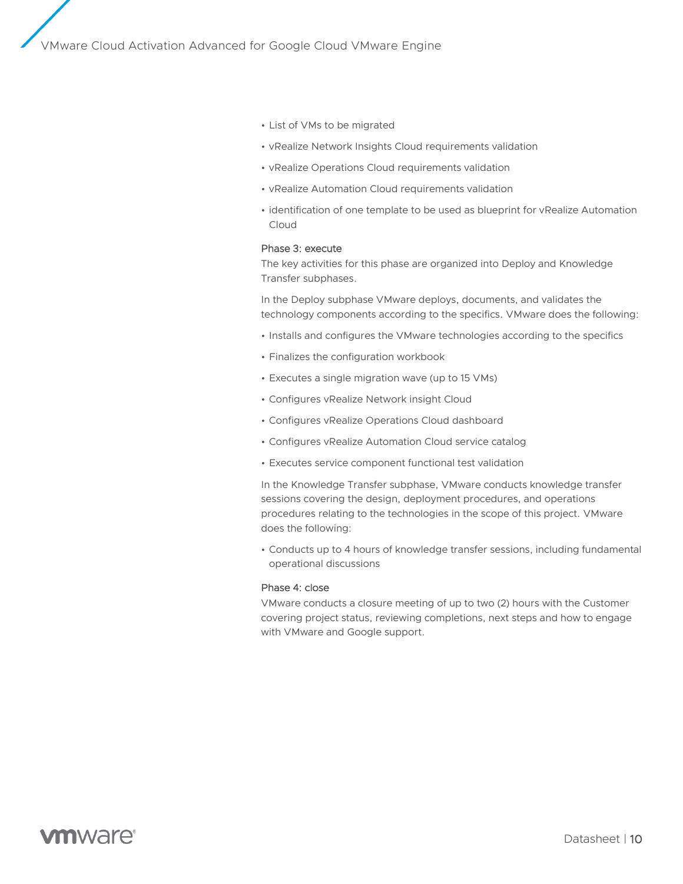- List of VMs to be migrated
- vRealize Network Insights Cloud requirements validation
- vRealize Operations Cloud requirements validation
- vRealize Automation Cloud requirements validation
- identification of one template to be used as blueprint for vRealize Automation Cloud

#### Phase 3: execute

The key activities for this phase are organized into Deploy and Knowledge Transfer subphases.

In the Deploy subphase VMware deploys, documents, and validates the technology components according to the specifics. VMware does the following:

- Installs and configures the VMware technologies according to the specifics
- Finalizes the configuration workbook
- Executes a single migration wave (up to 15 VMs)
- Configures vRealize Network insight Cloud
- Configures vRealize Operations Cloud dashboard
- Configures vRealize Automation Cloud service catalog
- Executes service component functional test validation

In the Knowledge Transfer subphase, VMware conducts knowledge transfer sessions covering the design, deployment procedures, and operations procedures relating to the technologies in the scope of this project. VMware does the following:

• Conducts up to 4 hours of knowledge transfer sessions, including fundamental operational discussions

#### Phase 4: close

VMware conducts a closure meeting of up to two (2) hours with the Customer covering project status, reviewing completions, next steps and how to engage with VMware and Google support.